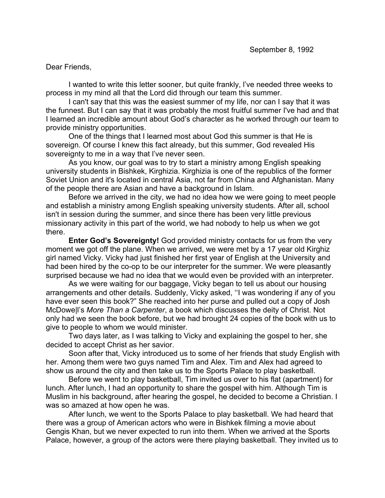## Dear Friends,

I wanted to write this letter sooner, but quite frankly, l've needed three weeks to process in my mind all that the Lord did through our team this summer.

I can't say that this was the easiest summer of my life, nor can I say that it was the funnest. But I can say that it was probably the most fruitful summer I've had and that I learned an incredible amount about God's character as he worked through our team to provide ministry opportunities.

One of the things that I learned most about God this summer is that He is sovereign. Of course I knew this fact already, but this summer, God revealed His sovereignty to me in a way that l've never seen.

As you know, our goal was to try to start a ministry among English speaking university students in Bishkek, Kirghizia. Kirghizia is one of the republics of the former Soviet Union and it's located in central Asia, not far from China and Afghanistan. Many of the people there are Asian and have a background in Islam.

Before we arrived in the city, we had no idea how we were going to meet people and establish a ministry among English speaking university students. After all, school isn't in session during the summer, and since there has been very little previous missionary activity in this part of the world, we had nobody to help us when we got there.

**Enter God's Sovereignty!** God provided ministry contacts for us from the very moment we got off the plane. When we arrived, we were met by a 17 year old Kirghiz girl named Vicky. Vicky had just finished her first year of English at the University and had been hired by the co-op to be our interpreter for the summer. We were pleasantly surprised because we had no idea that we would even be provided with an interpreter.

As we were waiting for our baggage, Vicky began to tell us about our housing arrangements and other details. Suddenly, Vicky asked, ''I was wondering if any of you have ever seen this book?" She reached into her purse and pulled out a copy of Josh McDowe|l's *More Than a Carpenter*, a book which discusses the deity of Christ. Not only had we seen the book before, but we had brought 24 copies of the book with us to give to people to whom we would minister.

Two days later, as I was talking to Vicky and explaining the gospel to her, she decided to accept Christ as her savior.

Soon after that, Vicky introduced us to some of her friends that study English with her. Among them were two guys named Tim and Alex. Tim and Alex had agreed to show us around the city and then take us to the Sports Palace to play basketball.

Before we went to play basketball, Tim invited us over to his flat (apartment) for lunch. After lunch, I had an opportunity to share the gospel with him. Although Tim is Muslim in his background, after hearing the gospel, he decided to become a Christian. I was so amazed at how open he was.

After lunch, we went to the Sports Palace to play basketball. We had heard that there was a group of American actors who were in Bishkek filming a movie about Gengis Khan, but we never expected to run into them. When we arrived at the Sports Palace, however, a group of the actors were there playing basketball. They invited us to